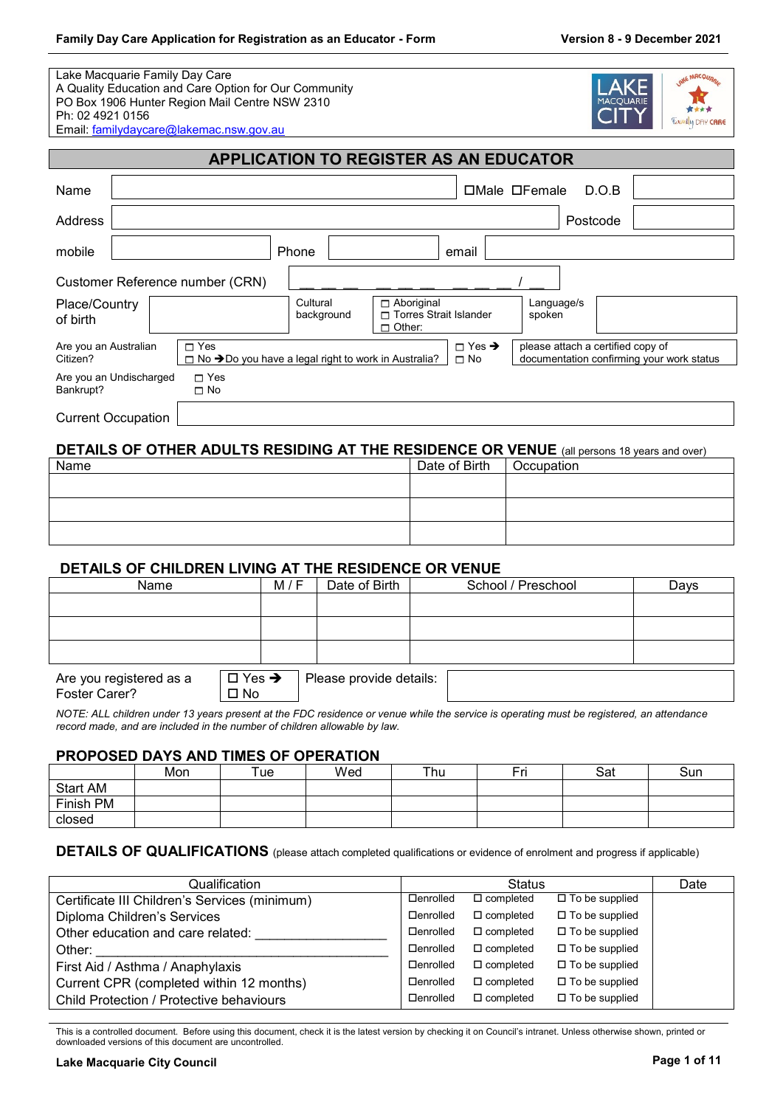Lake Macquarie Family Day Care A Quality Education and Care Option for Our Community PO Box 1906 Hunter Region Mail Centre NSW 2310 Ph: 02 4921 0156 Email: [familydaycare@lakemac.nsw.gov.au](mailto:familydaycare@lakemac.nsw.gov.au)



**APPLICATION TO REGISTER AS AN EDUCATOR** Name Name Section 2012 12:00 12:00 Name Male D.O.B Address Postcode Postcode (Postcode Postcode Postcode Postcode Postcode Postcode Postcode Postcode Postcode Po mobile Phone email Customer Reference number (CRN) Place/Country of birth **Cultural** background Aboriginal □ Torres Strait Islander Other: Language/s spoken Are you an Australian Citizen? □ Yes □ No →Do you have a legal right to work in Australia? Yes ➔  $\Box$  No please attach a certified copy of documentation confirming your work status Are you an Undischarged Bankrupt? □ Yes No Current Occupation

# **DETAILS OF OTHER ADULTS RESIDING AT THE RESIDENCE OR VENUE** (all persons 18 years and over)

| Name | Date of Birth | <b>Occupation</b> |
|------|---------------|-------------------|
|      |               |                   |
|      |               |                   |
|      |               |                   |
|      |               |                   |
|      |               |                   |
|      |               |                   |

# **DETAILS OF CHILDREN LIVING AT THE RESIDENCE OR VENUE**

| Name                                     |                                  | M / F | Date of Birth           | School / Preschool | Days |
|------------------------------------------|----------------------------------|-------|-------------------------|--------------------|------|
|                                          |                                  |       |                         |                    |      |
|                                          |                                  |       |                         |                    |      |
|                                          |                                  |       |                         |                    |      |
| Are you registered as a<br>Foster Carer? | $\Box$ Yes $\rightarrow$<br>□ No |       | Please provide details: |                    |      |

*NOTE: ALL children under 13 years present at the FDC residence or venue while the service is operating must be registered, an attendance record made, and are included in the number of children allowable by law.*

#### **PROPOSED DAYS AND TIMES OF OPERATION**

|           | Mon | Tue | Wed | Thu | Eri | Sat | Sun |
|-----------|-----|-----|-----|-----|-----|-----|-----|
| Start AM  |     |     |     |     |     |     |     |
| Finish PM |     |     |     |     |     |     |     |
| closed    |     |     |     |     |     |     |     |

#### **DETAILS OF QUALIFICATIONS** (please attach completed qualifications or evidence of enrolment and progress if applicable)

| Qualification                                 |                   | <b>Status</b>       |                          | Date |
|-----------------------------------------------|-------------------|---------------------|--------------------------|------|
| Certificate III Children's Services (minimum) | □enrolled         | $\Box$ completed    | $\Box$ To be supplied    |      |
| Diploma Children's Services                   | <b>Denrolled</b>  | $\Box$ completed    | $\square$ To be supplied |      |
| Other education and care related:             | $\Box$ enrolled   | $\Box$ completed    | $\Box$ To be supplied    |      |
| Other:                                        | <b>Denrolled</b>  | $\Box$ completed    | $\Box$ To be supplied    |      |
| First Aid / Asthma / Anaphylaxis              | <b>□</b> enrolled | $\square$ completed | $\Box$ To be supplied    |      |
| Current CPR (completed within 12 months)      | $\Box$ enrolled   | $\Box$ completed    | $\Box$ To be supplied    |      |
| Child Protection / Protective behaviours      | □enrolled         | $\square$ completed | $\Box$ To be supplied    |      |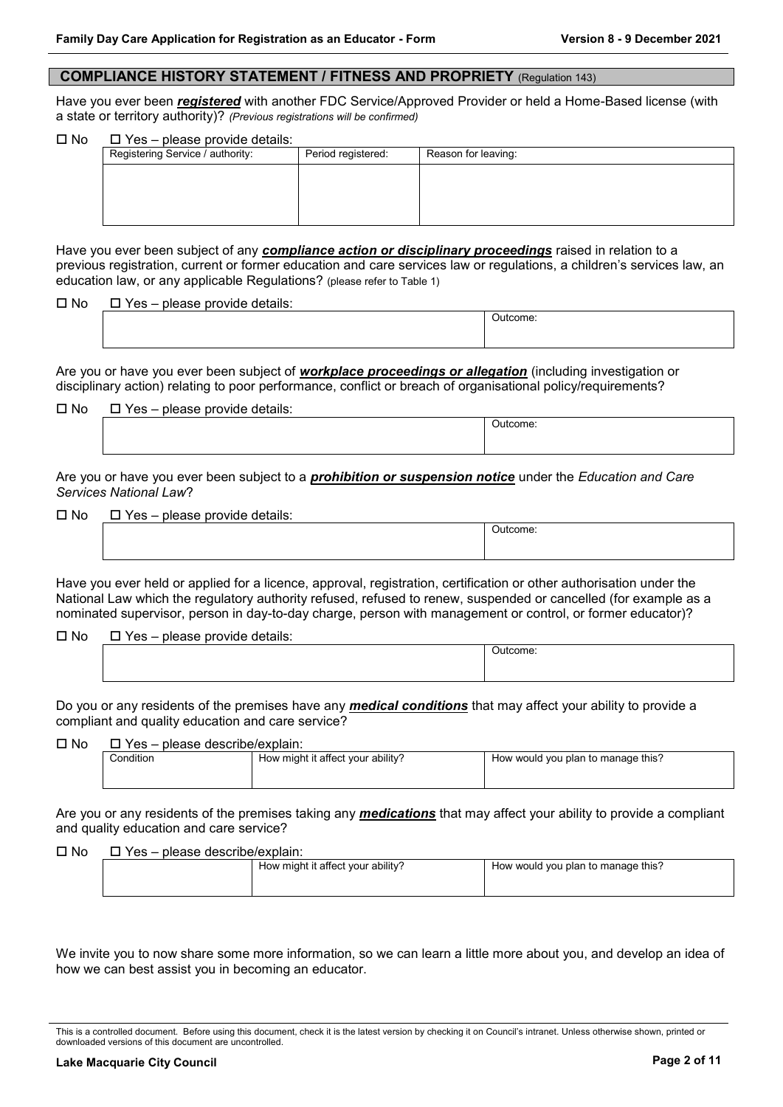#### **COMPLIANCE HISTORY STATEMENT / FITNESS AND PROPRIETY** (Regulation 143)

Have you ever been *registered* with another FDC Service/Approved Provider or held a Home-Based license (with a state or territory authority)? *(Previous registrations will be confirmed)*

 $\Box$  No  $\Box$  Yes – please provide details:

| prodoo provido dotalio.          |                    |                     |
|----------------------------------|--------------------|---------------------|
| Registering Service / authority: | Period registered: | Reason for leaving: |
|                                  |                    |                     |
|                                  |                    |                     |
|                                  |                    |                     |
|                                  |                    |                     |

Have you ever been subject of any *compliance action or disciplinary proceedings* raised in relation to a previous registration, current or former education and care services law or regulations, a children's services law, an education law, or any applicable Regulations? (please refer to Table 1)

 $\square$  No  $\square$  Yes – please provide details:

Are you or have you ever been subject of *workplace proceedings or allegation* (including investigation or disciplinary action) relating to poor performance, conflict or breach of organisational policy/requirements?

| $\Box$ No | □ Yes – please provide details: |
|-----------|---------------------------------|
|           |                                 |

Outcome:

Outcome:

Are you or have you ever been subject to a *prohibition or suspension notice* under the *Education and Care Services National Law*?

 $\Pi$  No  $\Pi$  Yes – please provide details:

| . |  |    |
|---|--|----|
|   |  | ıю |
|   |  |    |
|   |  |    |

Have you ever held or applied for a licence, approval, registration, certification or other authorisation under the National Law which the regulatory authority refused, refused to renew, suspended or cancelled (for example as a nominated supervisor, person in day-to-day charge, person with management or control, or former educator)?

 $\Pi$  No  $\Pi$  Yes – please provide details:

| Jutcome. |  |
|----------|--|
|          |  |

Do you or any residents of the premises have any *medical conditions* that may affect your ability to provide a compliant and quality education and care service?

 $\Pi$  No  $\Pi$  Yes – please describe/explain:

| ---<br>-------------------------- |                                   |                                    |
|-----------------------------------|-----------------------------------|------------------------------------|
| onditionٽ                         | How might it affect your ability? | How would you plan to manage this? |
|                                   |                                   |                                    |
|                                   |                                   |                                    |

Are you or any residents of the premises taking any *medications* that may affect your ability to provide a compliant and quality education and care service?

#### $\Box$  No  $\Box$  Yes – please describe/explain:

|  | How might it affect your ability? | ■ How would you plan to manage this? |
|--|-----------------------------------|--------------------------------------|
|  |                                   |                                      |

We invite you to now share some more information, so we can learn a little more about you, and develop an idea of how we can best assist you in becoming an educator.

This is a controlled document. Before using this document, check it is the latest version by checking it on Council's intranet. Unless otherwise shown, printed or downloaded versions of this document are uncontrolled.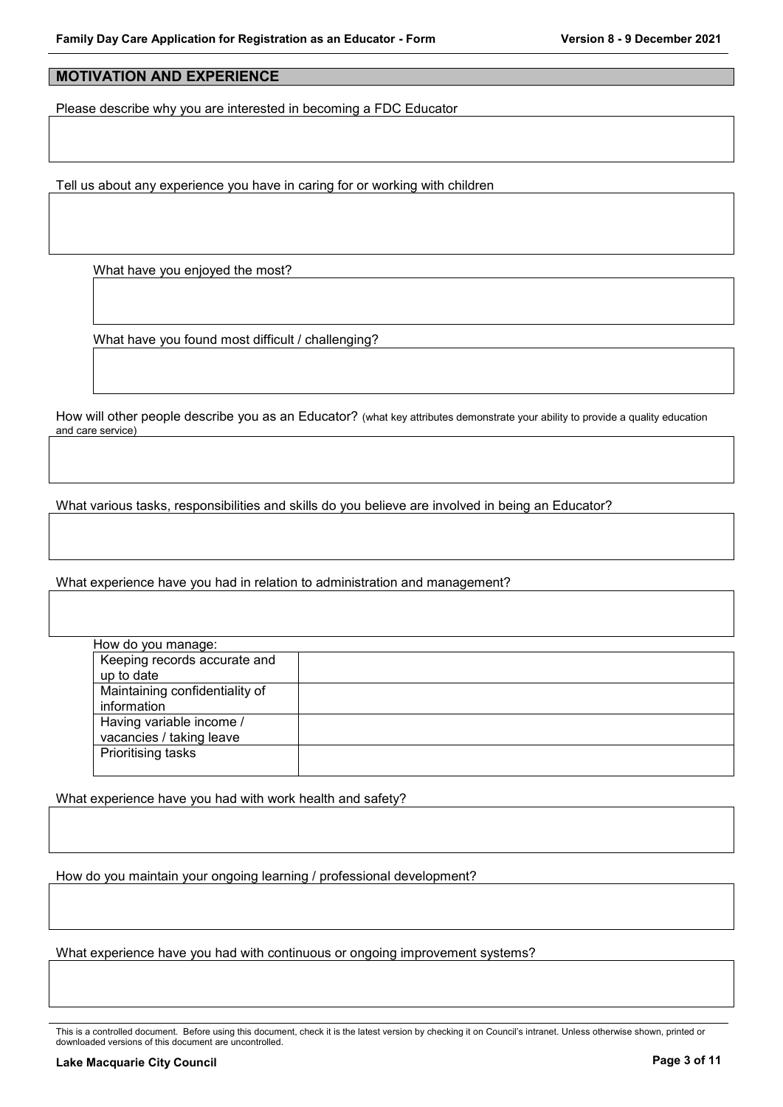# **MOTIVATION AND EXPERIENCE**

Please describe why you are interested in becoming a FDC Educator

Tell us about any experience you have in caring for or working with children

What have you enjoyed the most?

What have you found most difficult / challenging?

How will other people describe you as an Educator? (what key attributes demonstrate your ability to provide a quality education and care service)

What various tasks, responsibilities and skills do you believe are involved in being an Educator?

What experience have you had in relation to administration and management?

| How do you manage:             |  |
|--------------------------------|--|
| Keeping records accurate and   |  |
| up to date                     |  |
| Maintaining confidentiality of |  |
| information                    |  |
| Having variable income /       |  |
| vacancies / taking leave       |  |
| Prioritising tasks             |  |
|                                |  |

What experience have you had with work health and safety?

How do you maintain your ongoing learning / professional development?

What experience have you had with continuous or ongoing improvement systems?

This is a controlled document. Before using this document, check it is the latest version by checking it on Council's intranet. Unless otherwise shown, printed or downloaded versions of this document are uncontrolled.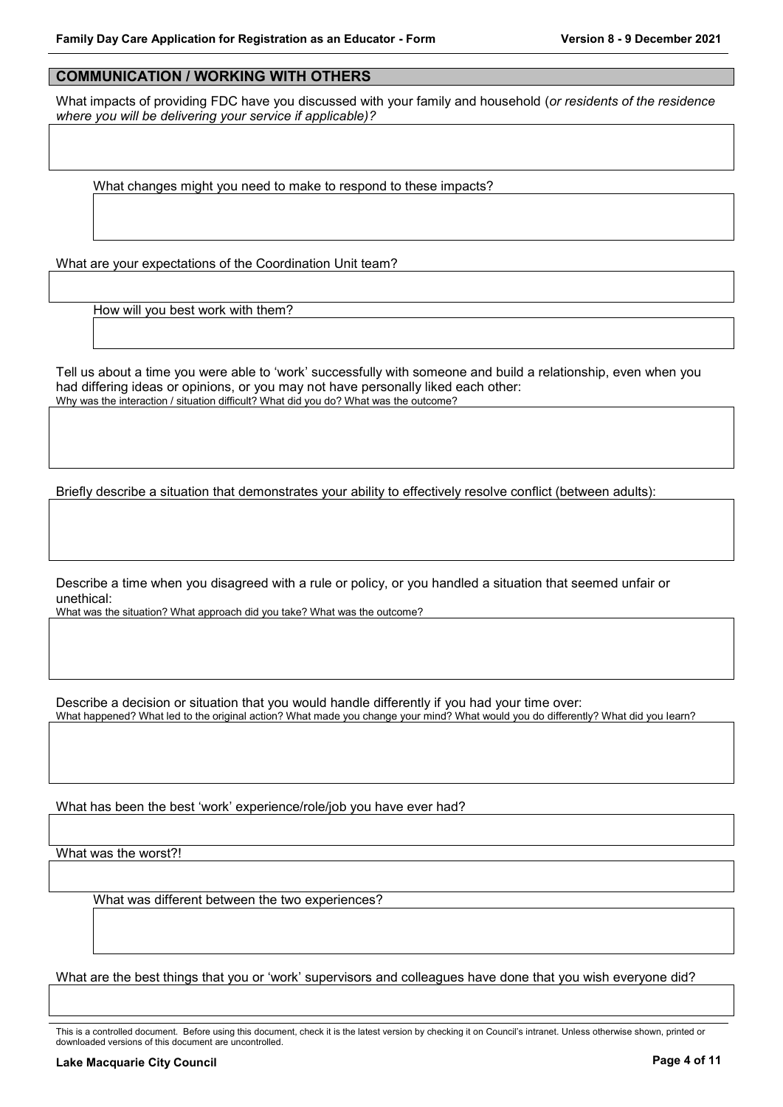## **COMMUNICATION / WORKING WITH OTHERS**

What impacts of providing FDC have you discussed with your family and household (*or residents of the residence where you will be delivering your service if applicable)?*

What changes might you need to make to respond to these impacts?

What are your expectations of the Coordination Unit team?

How will you best work with them?

Tell us about a time you were able to 'work' successfully with someone and build a relationship, even when you had differing ideas or opinions, or you may not have personally liked each other: Why was the interaction / situation difficult? What did you do? What was the outcome?

Briefly describe a situation that demonstrates your ability to effectively resolve conflict (between adults):

Describe a time when you disagreed with a rule or policy, or you handled a situation that seemed unfair or unethical:

What was the situation? What approach did you take? What was the outcome?

Describe a decision or situation that you would handle differently if you had your time over:

What happened? What led to the original action? What made you change your mind? What would you do differently? What did you learn?

What has been the best 'work' experience/role/job you have ever had?

What was the worst?!

What was different between the two experiences?

What are the best things that you or 'work' supervisors and colleagues have done that you wish everyone did?

This is a controlled document. Before using this document, check it is the latest version by checking it on Council's intranet. Unless otherwise shown, printed or downloaded versions of this document are uncontrolled.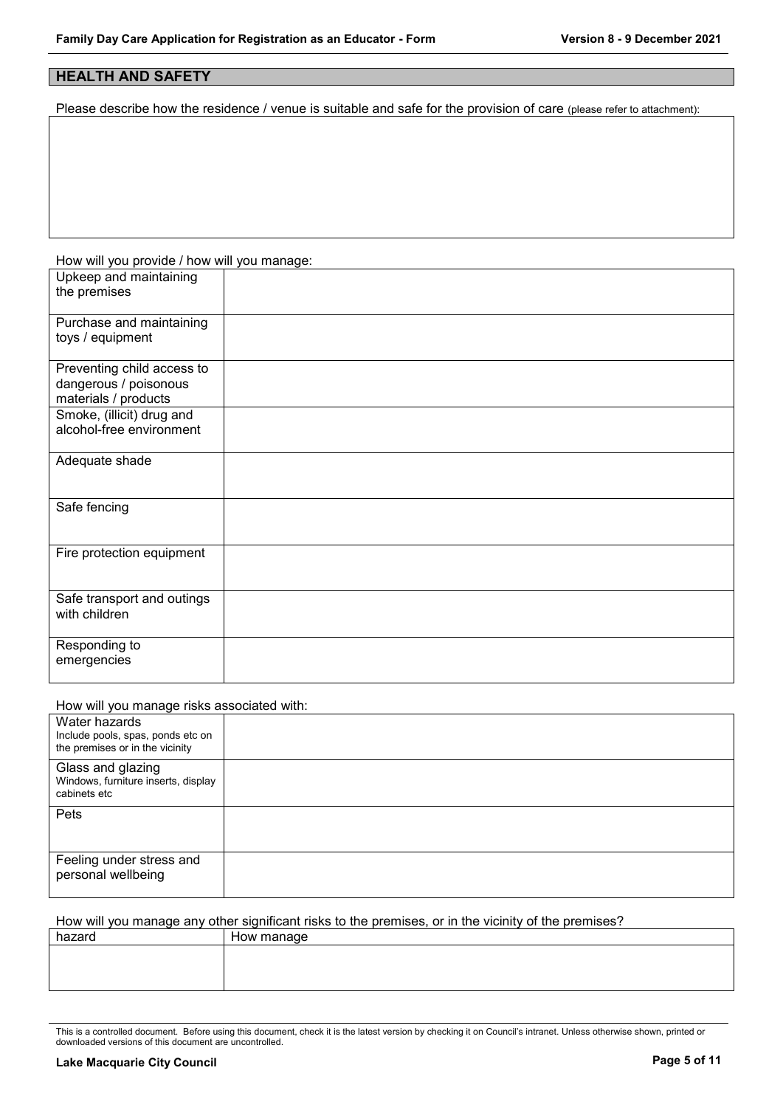# **HEALTH AND SAFETY**

Please describe how the residence / venue is suitable and safe for the provision of care (please refer to attachment):

| How will you provide / how will you manage: |  |
|---------------------------------------------|--|
| Upkeep and maintaining                      |  |
| the premises                                |  |
|                                             |  |
| Purchase and maintaining                    |  |
| toys / equipment                            |  |
|                                             |  |
| Preventing child access to                  |  |
| dangerous / poisonous                       |  |
| materials / products                        |  |
| Smoke, (illicit) drug and                   |  |
| alcohol-free environment                    |  |
|                                             |  |
| Adequate shade                              |  |
|                                             |  |
|                                             |  |
| Safe fencing                                |  |
|                                             |  |
|                                             |  |
| Fire protection equipment                   |  |
|                                             |  |
|                                             |  |
| Safe transport and outings                  |  |
| with children                               |  |
|                                             |  |
| Responding to                               |  |
| emergencies                                 |  |
|                                             |  |

#### How will you manage risks associated with:

| Water hazards<br>Include pools, spas, ponds etc on<br>the premises or in the vicinity |  |
|---------------------------------------------------------------------------------------|--|
| Glass and glazing<br>Windows, furniture inserts, display<br>cabinets etc              |  |
| Pets                                                                                  |  |
| Feeling under stress and<br>personal wellbeing                                        |  |

How will you manage any other significant risks to the premises, or in the vicinity of the premises?

| hazard | How manage |
|--------|------------|
|        |            |
|        |            |
|        |            |
|        |            |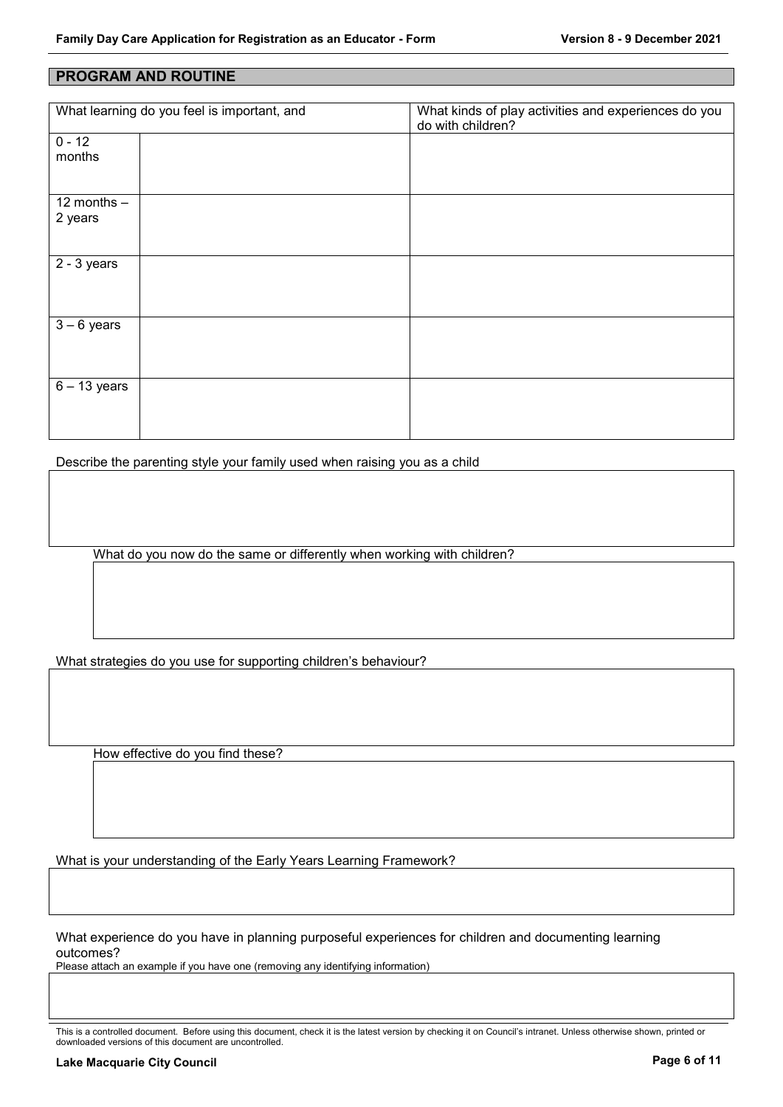#### **PROGRAM AND ROUTINE**

| What learning do you feel is important, and |  | What kinds of play activities and experiences do you<br>do with children? |
|---------------------------------------------|--|---------------------------------------------------------------------------|
| $0 - 12$                                    |  |                                                                           |
| months                                      |  |                                                                           |
|                                             |  |                                                                           |
| 12 months $-$                               |  |                                                                           |
| 2 years                                     |  |                                                                           |
|                                             |  |                                                                           |
|                                             |  |                                                                           |
| $2 - 3$ years                               |  |                                                                           |
|                                             |  |                                                                           |
|                                             |  |                                                                           |
|                                             |  |                                                                           |
| $\overline{3}$ – 6 years                    |  |                                                                           |
|                                             |  |                                                                           |
|                                             |  |                                                                           |
| $6 - 13$ years                              |  |                                                                           |
|                                             |  |                                                                           |
|                                             |  |                                                                           |
|                                             |  |                                                                           |

Describe the parenting style your family used when raising you as a child

What do you now do the same or differently when working with children?

What strategies do you use for supporting children's behaviour?

How effective do you find these?

What is your understanding of the Early Years Learning Framework?

What experience do you have in planning purposeful experiences for children and documenting learning outcomes?

Please attach an example if you have one (removing any identifying information)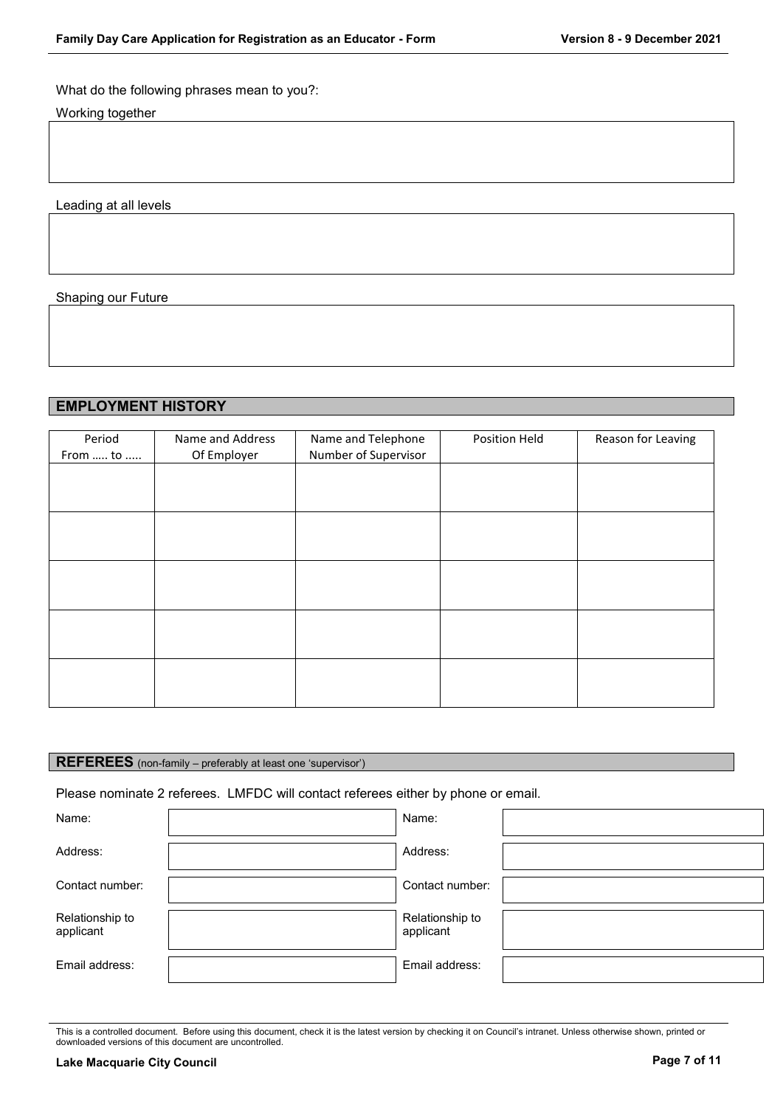### What do the following phrases mean to you?:

Working together

Leading at all levels

#### Shaping our Future

# **EMPLOYMENT HISTORY**

| Period<br>From  to | Name and Address<br>Of Employer | Name and Telephone<br>Number of Supervisor | Position Held | Reason for Leaving |
|--------------------|---------------------------------|--------------------------------------------|---------------|--------------------|
|                    |                                 |                                            |               |                    |
|                    |                                 |                                            |               |                    |
|                    |                                 |                                            |               |                    |
|                    |                                 |                                            |               |                    |
|                    |                                 |                                            |               |                    |
|                    |                                 |                                            |               |                    |
|                    |                                 |                                            |               |                    |
|                    |                                 |                                            |               |                    |
|                    |                                 |                                            |               |                    |
|                    |                                 |                                            |               |                    |

# **REFEREES** (non-family – preferably at least one 'supervisor')

#### Please nominate 2 referees. LMFDC will contact referees either by phone or email.

| Name:                        | Name:                        |  |
|------------------------------|------------------------------|--|
| Address:                     | Address:                     |  |
| Contact number:              | Contact number:              |  |
| Relationship to<br>applicant | Relationship to<br>applicant |  |
| Email address:               | Email address:               |  |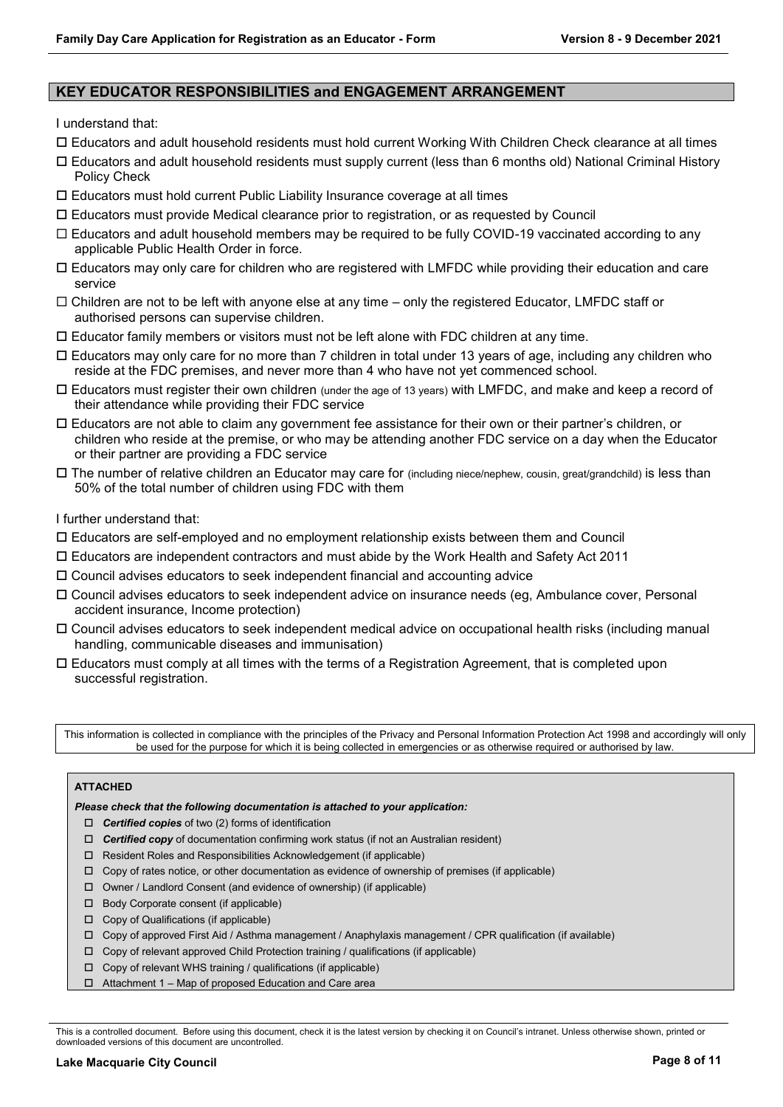## **KEY EDUCATOR RESPONSIBILITIES and ENGAGEMENT ARRANGEMENT**

I understand that:

- Educators and adult household residents must hold current Working With Children Check clearance at all times
- Educators and adult household residents must supply current (less than 6 months old) National Criminal History Policy Check
- Educators must hold current Public Liability Insurance coverage at all times
- Educators must provide Medical clearance prior to registration, or as requested by Council
- $\Box$  Educators and adult household members may be required to be fully COVID-19 vaccinated according to any applicable Public Health Order in force.
- Educators may only care for children who are registered with LMFDC while providing their education and care service
- $\Box$  Children are not to be left with anyone else at any time only the registered Educator, LMFDC staff or authorised persons can supervise children.
- $\square$  Educator family members or visitors must not be left alone with FDC children at any time.
- Educators may only care for no more than 7 children in total under 13 years of age, including any children who reside at the FDC premises, and never more than 4 who have not yet commenced school.
- Educators must register their own children (under the age of 13 years) with LMFDC, and make and keep a record of their attendance while providing their FDC service
- Educators are not able to claim any government fee assistance for their own or their partner's children, or children who reside at the premise, or who may be attending another FDC service on a day when the Educator or their partner are providing a FDC service
- The number of relative children an Educator may care for (including niece/nephew, cousin, great/grandchild) is less than 50% of the total number of children using FDC with them

I further understand that:

- Educators are self-employed and no employment relationship exists between them and Council
- Educators are independent contractors and must abide by the Work Health and Safety Act 2011
- Council advises educators to seek independent financial and accounting advice
- Council advises educators to seek independent advice on insurance needs (eg, Ambulance cover, Personal accident insurance, Income protection)
- Council advises educators to seek independent medical advice on occupational health risks (including manual handling, communicable diseases and immunisation)
- $\Box$  Educators must comply at all times with the terms of a Registration Agreement, that is completed upon successful registration.

This information is collected in compliance with the principles of the Privacy and Personal Information Protection Act 1998 and accordingly will only be used for the purpose for which it is being collected in emergencies or as otherwise required or authorised by law.

#### **ATTACHED**

*Please check that the following documentation is attached to your application:*

- *Certified copies* of two (2) forms of identification
- *Certified copy* of documentation confirming work status (if not an Australian resident)
- □ Resident Roles and Responsibilities Acknowledgement (if applicable)
- $\Box$  Copy of rates notice, or other documentation as evidence of ownership of premises (if applicable)
- Owner / Landlord Consent (and evidence of ownership) (if applicable)
- □ Body Corporate consent (if applicable)
- Copy of Qualifications (if applicable)
- Copy of approved First Aid / Asthma management / Anaphylaxis management / CPR qualification (if available)
- $\Box$  Copy of relevant approved Child Protection training / qualifications (if applicable)
- $\Box$  Copy of relevant WHS training / qualifications (if applicable)
- Attachment 1 Map of proposed Education and Care area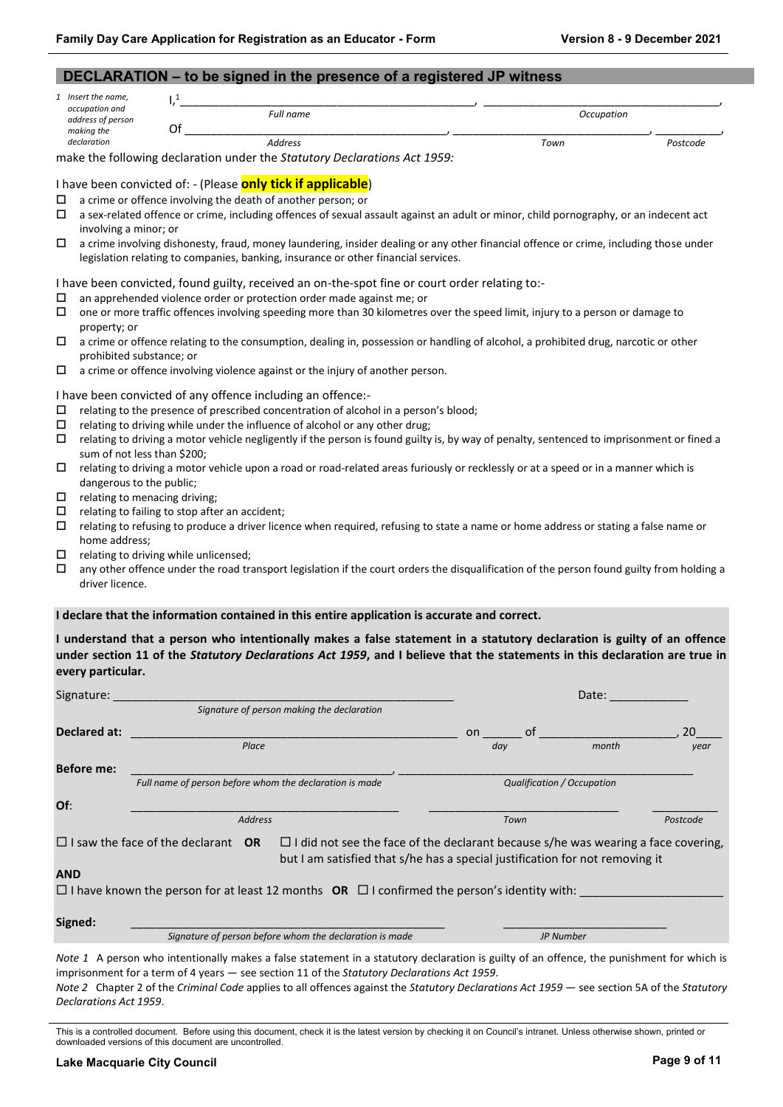|                                     | DECLARATION - to be signed in the presence of a registered JP witness                                                                 |            |          |
|-------------------------------------|---------------------------------------------------------------------------------------------------------------------------------------|------------|----------|
| 1 Insert the name,                  | l <sub>1</sub>                                                                                                                        |            |          |
| occupation and<br>address of person | Full name                                                                                                                             | Occupation |          |
| making the                          | Of                                                                                                                                    |            |          |
| declaration                         | <b>Address</b>                                                                                                                        | Town       | Postcode |
|                                     | make the following declaration under the Statutory Declarations Act 1959:                                                             |            |          |
|                                     | I have been convicted of: - (Please only tick if applicable)                                                                          |            |          |
|                                     |                                                                                                                                       |            |          |
| □                                   | a crime or offence involving the death of another person; or                                                                          |            |          |
| □                                   | a sex-related offence or crime, including offences of sexual assault against an adult or minor, child pornography, or an indecent act |            |          |
| involving a minor; or               |                                                                                                                                       |            |          |
| □                                   | a crime involving dishonesty, fraud, money laundering, insider dealing or any other financial offence or crime, including those under |            |          |
|                                     | legislation relating to companies, banking, insurance or other financial services.                                                    |            |          |
|                                     | I have been convicted, found guilty, received an on-the-spot fine or court order relating to:-                                        |            |          |
| □                                   | an apprehended violence order or protection order made against me; or                                                                 |            |          |
| □                                   | one or more traffic offences involving speeding more than 30 kilometres over the speed limit, injury to a person or damage to         |            |          |
| property; or                        |                                                                                                                                       |            |          |
| □                                   | a crime or offence relating to the consumption, dealing in, possession or handling of alcohol, a prohibited drug, narcotic or other   |            |          |
| prohibited substance; or            |                                                                                                                                       |            |          |
| □                                   | a crime or offence involving violence against or the injury of another person.                                                        |            |          |
|                                     |                                                                                                                                       |            |          |
|                                     | I have been convicted of any offence including an offence:-                                                                           |            |          |
| □                                   | relating to the presence of prescribed concentration of alcohol in a person's blood;                                                  |            |          |
| □                                   | relating to driving while under the influence of alcohol or any other drug;                                                           |            |          |

- $\Box$  relating to driving a motor vehicle negligently if the person is found guilty is, by way of penalty, sentenced to imprisonment or fined a sum of not less than \$200;
- $\Box$  relating to driving a motor vehicle upon a road or road-related areas furiously or recklessly or at a speed or in a manner which is dangerous to the public;
- $\Box$  relating to menacing driving;
- $\square$  relating to failing to stop after an accident;
- relating to refusing to produce a driver licence when required, refusing to state a name or home address or stating a false name or home address;
- $\Box$  relating to driving while unlicensed;
- $\Box$  any other offence under the road transport legislation if the court orders the disqualification of the person found guilty from holding a driver licence.

#### **I declare that the information contained in this entire application is accurate and correct.**

**I understand that a person who intentionally makes a false statement in a statutory declaration is guilty of an offence under section 11 of the** *Statutory Declarations Act 1959***, and I believe that the statements in this declaration are true in every particular.**

| Signature:        |                                                                                                                                                                                                                       |          | Date:                      |          |
|-------------------|-----------------------------------------------------------------------------------------------------------------------------------------------------------------------------------------------------------------------|----------|----------------------------|----------|
|                   | Signature of person making the declaration                                                                                                                                                                            |          |                            |          |
| Declared at:      |                                                                                                                                                                                                                       | of<br>on |                            | 20       |
|                   | Place                                                                                                                                                                                                                 | day      | month                      | year     |
| <b>Before me:</b> |                                                                                                                                                                                                                       |          |                            |          |
|                   | Full name of person before whom the declaration is made                                                                                                                                                               |          | Qualification / Occupation |          |
| Of:               |                                                                                                                                                                                                                       |          |                            |          |
|                   | <b>Address</b>                                                                                                                                                                                                        | Town     |                            | Postcode |
|                   | $\Box$ I saw the face of the declarant OR<br>$\Box$ I did not see the face of the declarant because s/he was wearing a face covering,<br>but I am satisfied that s/he has a special justification for not removing it |          |                            |          |
| <b>AND</b>        |                                                                                                                                                                                                                       |          |                            |          |
|                   | $\Box$ I have known the person for at least 12 months OR $\Box$ I confirmed the person's identity with:                                                                                                               |          |                            |          |
| Signed:           |                                                                                                                                                                                                                       |          |                            |          |
|                   | Signature of person before whom the declaration is made                                                                                                                                                               |          | JP Number                  |          |
|                   |                                                                                                                                                                                                                       |          |                            |          |

*Note 1* A person who intentionally makes a false statement in a statutory declaration is guilty of an offence, the punishment for which is imprisonment for a term of 4 years — see section 11 of the *Statutory Declarations Act 1959*. *Note 2* Chapter 2 of the *Criminal Code* applies to all offences against the *Statutory Declarations Act 1959* — see section 5A of the *Statutory Declarations Act 1959*.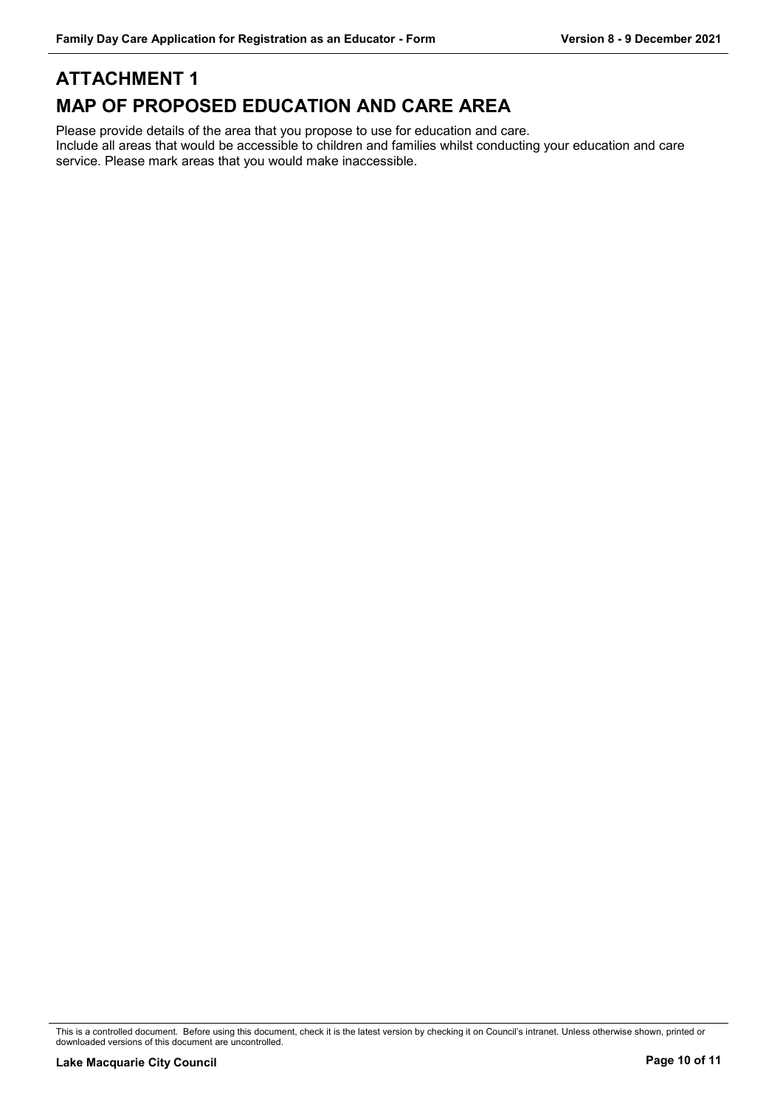# **ATTACHMENT 1 MAP OF PROPOSED EDUCATION AND CARE AREA**

Please provide details of the area that you propose to use for education and care. Include all areas that would be accessible to children and families whilst conducting your education and care service. Please mark areas that you would make inaccessible.

This is a controlled document. Before using this document, check it is the latest version by checking it on Council's intranet. Unless otherwise shown, printed or downloaded versions of this document are uncontrolled.